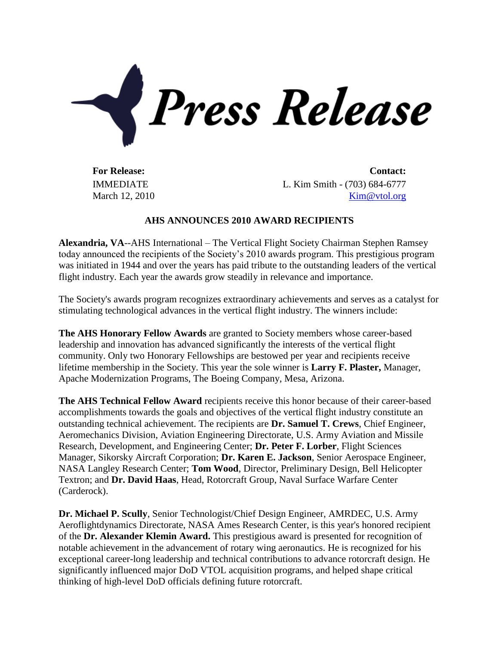

IMMEDIATE March 12, 2010

**For Release: Contact:** L. Kim Smith - (703) 684-6777 [Kim@vtol.org](mailto:Kim@vtol.org)

## **AHS ANNOUNCES 2010 AWARD RECIPIENTS**

**Alexandria, VA**--AHS International – The Vertical Flight Society Chairman Stephen Ramsey today announced the recipients of the Society's 2010 awards program. This prestigious program was initiated in 1944 and over the years has paid tribute to the outstanding leaders of the vertical flight industry. Each year the awards grow steadily in relevance and importance.

The Society's awards program recognizes extraordinary achievements and serves as a catalyst for stimulating technological advances in the vertical flight industry. The winners include:

**The AHS Honorary Fellow Awards** are granted to Society members whose career-based leadership and innovation has advanced significantly the interests of the vertical flight community. Only two Honorary Fellowships are bestowed per year and recipients receive lifetime membership in the Society. This year the sole winner is **Larry F. Plaster,** Manager, Apache Modernization Programs, The Boeing Company, Mesa, Arizona.

**The AHS Technical Fellow Award** recipients receive this honor because of their career-based accomplishments towards the goals and objectives of the vertical flight industry constitute an outstanding technical achievement. The recipients are **Dr. Samuel T. Crews**, Chief Engineer, Aeromechanics Division, Aviation Engineering Directorate, U.S. Army Aviation and Missile Research, Development, and Engineering Center; **Dr. Peter F. Lorber**, Flight Sciences Manager, Sikorsky Aircraft Corporation; **Dr. Karen E. Jackson**, Senior Aerospace Engineer, NASA Langley Research Center; **Tom Wood**, Director, Preliminary Design, Bell Helicopter Textron; and **Dr. David Haas**, Head, Rotorcraft Group, Naval Surface Warfare Center (Carderock).

**Dr. Michael P. Scully**, Senior Technologist/Chief Design Engineer, AMRDEC, U.S. Army Aeroflightdynamics Directorate, NASA Ames Research Center, is this year's honored recipient of the **Dr. Alexander Klemin Award.** This prestigious award is presented for recognition of notable achievement in the advancement of rotary wing aeronautics. He is recognized for his exceptional career-long leadership and technical contributions to advance rotorcraft design. He significantly influenced major DoD VTOL acquisition programs, and helped shape critical thinking of high-level DoD officials defining future rotorcraft.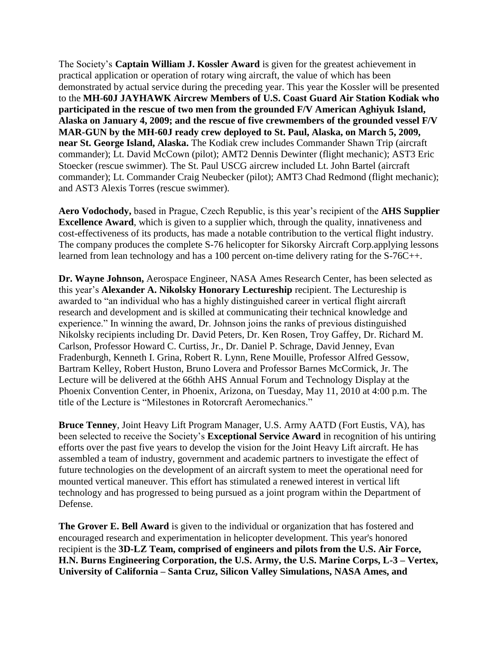The Society's **Captain William J. Kossler Award** is given for the greatest achievement in practical application or operation of rotary wing aircraft, the value of which has been demonstrated by actual service during the preceding year. This year the Kossler will be presented to the **MH-60J JAYHAWK Aircrew Members of U.S. Coast Guard Air Station Kodiak who participated in the rescue of two men from the grounded F/V American Aghiyuk Island, Alaska on January 4, 2009; and the rescue of five crewmembers of the grounded vessel F/V MAR-GUN by the MH-60J ready crew deployed to St. Paul, Alaska, on March 5, 2009, near St. George Island, Alaska.** The Kodiak crew includes Commander Shawn Trip (aircraft commander); Lt. David McCown (pilot); AMT2 Dennis Dewinter (flight mechanic); AST3 Eric Stoecker (rescue swimmer). The St. Paul USCG aircrew included Lt. John Bartel (aircraft commander); Lt. Commander Craig Neubecker (pilot); AMT3 Chad Redmond (flight mechanic); and AST3 Alexis Torres (rescue swimmer).

**Aero Vodochody,** based in Prague, Czech Republic, is this year's recipient of the **AHS Supplier Excellence Award**, which is given to a supplier which, through the quality, innativeness and cost-effectiveness of its products, has made a notable contribution to the vertical flight industry. The company produces the complete S-76 helicopter for Sikorsky Aircraft Corp.applying lessons learned from lean technology and has a 100 percent on-time delivery rating for the S-76C++.

**Dr. Wayne Johnson,** Aerospace Engineer, NASA Ames Research Center, has been selected as this year's **Alexander A. Nikolsky Honorary Lectureship** recipient. The Lectureship is awarded to "an individual who has a highly distinguished career in vertical flight aircraft research and development and is skilled at communicating their technical knowledge and experience." In winning the award, Dr. Johnson joins the ranks of previous distinguished Nikolsky recipients including Dr. David Peters, Dr. Ken Rosen, Troy Gaffey, Dr. Richard M. Carlson, Professor Howard C. Curtiss, Jr., Dr. Daniel P. Schrage, David Jenney, Evan Fradenburgh, Kenneth I. Grina, Robert R. Lynn, Rene Mouille, Professor Alfred Gessow, Bartram Kelley, Robert Huston, Bruno Lovera and Professor Barnes McCormick, Jr. The Lecture will be delivered at the 66thh AHS Annual Forum and Technology Display at the Phoenix Convention Center, in Phoenix, Arizona, on Tuesday, May 11, 2010 at 4:00 p.m. The title of the Lecture is "Milestones in Rotorcraft Aeromechanics."

**Bruce Tenney**, Joint Heavy Lift Program Manager, U.S. Army AATD (Fort Eustis, VA), has been selected to receive the Society's **Exceptional Service Award** in recognition of his untiring efforts over the past five years to develop the vision for the Joint Heavy Lift aircraft. He has assembled a team of industry, government and academic partners to investigate the effect of future technologies on the development of an aircraft system to meet the operational need for mounted vertical maneuver. This effort has stimulated a renewed interest in vertical lift technology and has progressed to being pursued as a joint program within the Department of Defense.

**The Grover E. Bell Award** is given to the individual or organization that has fostered and encouraged research and experimentation in helicopter development. This year's honored recipient is the **3D-LZ Team, comprised of engineers and pilots from the U.S. Air Force, H.N. Burns Engineering Corporation, the U.S. Army, the U.S. Marine Corps, L-3 – Vertex, University of California – Santa Cruz, Silicon Valley Simulations, NASA Ames, and**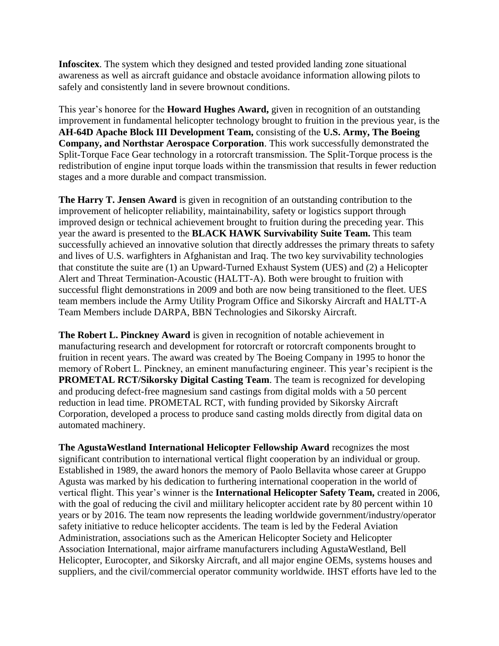**Infoscitex**. The system which they designed and tested provided landing zone situational awareness as well as aircraft guidance and obstacle avoidance information allowing pilots to safely and consistently land in severe brownout conditions.

This year's honoree for the **Howard Hughes Award,** given in recognition of an outstanding improvement in fundamental helicopter technology brought to fruition in the previous year, is the **AH-64D Apache Block III Development Team,** consisting of the **U.S. Army, The Boeing Company, and Northstar Aerospace Corporation**. This work successfully demonstrated the Split-Torque Face Gear technology in a rotorcraft transmission. The Split-Torque process is the redistribution of engine input torque loads within the transmission that results in fewer reduction stages and a more durable and compact transmission.

**The Harry T. Jensen Award** is given in recognition of an outstanding contribution to the improvement of helicopter reliability, maintainability, safety or logistics support through improved design or technical achievement brought to fruition during the preceding year. This year the award is presented to the **BLACK HAWK Survivability Suite Team.** This team successfully achieved an innovative solution that directly addresses the primary threats to safety and lives of U.S. warfighters in Afghanistan and Iraq. The two key survivability technologies that constitute the suite are (1) an Upward-Turned Exhaust System (UES) and (2) a Helicopter Alert and Threat Termination-Acoustic (HALTT-A). Both were brought to fruition with successful flight demonstrations in 2009 and both are now being transitioned to the fleet. UES team members include the Army Utility Program Office and Sikorsky Aircraft and HALTT-A Team Members include DARPA, BBN Technologies and Sikorsky Aircraft.

**The Robert L. Pinckney Award** is given in recognition of notable achievement in manufacturing research and development for rotorcraft or rotorcraft components brought to fruition in recent years. The award was created by The Boeing Company in 1995 to honor the memory of Robert L. Pinckney, an eminent manufacturing engineer. This year's recipient is the **PROMETAL RCT/Sikorsky Digital Casting Team**. The team is recognized for developing and producing defect-free magnesium sand castings from digital molds with a 50 percent reduction in lead time. PROMETAL RCT, with funding provided by Sikorsky Aircraft Corporation, developed a process to produce sand casting molds directly from digital data on automated machinery.

**The AgustaWestland International Helicopter Fellowship Award** recognizes the most significant contribution to international vertical flight cooperation by an individual or group. Established in 1989, the award honors the memory of Paolo Bellavita whose career at Gruppo Agusta was marked by his dedication to furthering international cooperation in the world of vertical flight. This year's winner is the **International Helicopter Safety Team,** created in 2006, with the goal of reducing the civil and miilitary helicopter accident rate by 80 percent within 10 years or by 2016. The team now represents the leading worldwide government/industry/operator safety initiative to reduce helicopter accidents. The team is led by the Federal Aviation Administration, associations such as the American Helicopter Society and Helicopter Association International, major airframe manufacturers including AgustaWestland, Bell Helicopter, Eurocopter, and Sikorsky Aircraft, and all major engine OEMs, systems houses and suppliers, and the civil/commercial operator community worldwide. IHST efforts have led to the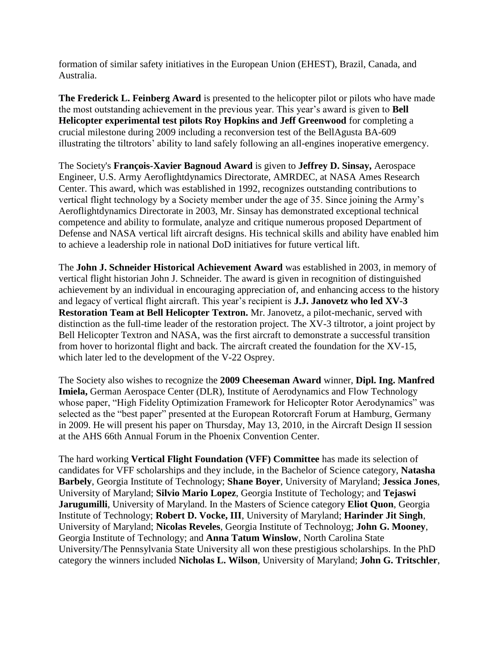formation of similar safety initiatives in the European Union (EHEST), Brazil, Canada, and Australia.

**The Frederick L. Feinberg Award** is presented to the helicopter pilot or pilots who have made the most outstanding achievement in the previous year. This year's award is given to **Bell Helicopter experimental test pilots Roy Hopkins and Jeff Greenwood** for completing a crucial milestone during 2009 including a reconversion test of the BellAgusta BA-609 illustrating the tiltrotors' ability to land safely following an all-engines inoperative emergency.

The Society's **François-Xavier Bagnoud Award** is given to **Jeffrey D. Sinsay,** Aerospace Engineer, U.S. Army Aeroflightdynamics Directorate, AMRDEC, at NASA Ames Research Center. This award, which was established in 1992, recognizes outstanding contributions to vertical flight technology by a Society member under the age of 35. Since joining the Army's Aeroflightdynamics Directorate in 2003, Mr. Sinsay has demonstrated exceptional technical competence and ability to formulate, analyze and critique numerous proposed Department of Defense and NASA vertical lift aircraft designs. His technical skills and ability have enabled him to achieve a leadership role in national DoD initiatives for future vertical lift.

The **John J. Schneider Historical Achievement Award** was established in 2003, in memory of vertical flight historian John J. Schneider. The award is given in recognition of distinguished achievement by an individual in encouraging appreciation of, and enhancing access to the history and legacy of vertical flight aircraft. This year's recipient is **J.J. Janovetz who led XV-3 Restoration Team at Bell Helicopter Textron.** Mr. Janovetz, a pilot-mechanic, served with distinction as the full-time leader of the restoration project. The XV-3 tiltrotor, a joint project by Bell Helicopter Textron and NASA, was the first aircraft to demonstrate a successful transition from hover to horizontal flight and back. The aircraft created the foundation for the XV-15, which later led to the development of the V-22 Osprey.

The Society also wishes to recognize the **2009 Cheeseman Award** winner, **Dipl. Ing. Manfred Imiela,** German Aerospace Center (DLR), Institute of Aerodynamics and Flow Technology whose paper, "High Fidelity Optimization Framework for Helicopter Rotor Aerodynamics" was selected as the "best paper" presented at the European Rotorcraft Forum at Hamburg, Germany in 2009. He will present his paper on Thursday, May 13, 2010, in the Aircraft Design II session at the AHS 66th Annual Forum in the Phoenix Convention Center.

The hard working **Vertical Flight Foundation (VFF) Committee** has made its selection of candidates for VFF scholarships and they include, in the Bachelor of Science category, **Natasha Barbely**, Georgia Institute of Technology; **Shane Boyer**, University of Maryland; **Jessica Jones**, University of Maryland; **Silvio Mario Lopez**, Georgia Institute of Techology; and **Tejaswi Jarugumilli**, University of Maryland. In the Masters of Science category **Eliot Quon**, Georgia Institute of Technology; **Robert D. Vocke, III**, University of Maryland; **Harinder Jit Singh**, University of Maryland; **Nicolas Reveles**, Georgia Institute of Technoloyg; **John G. Mooney**, Georgia Institute of Technology; and **Anna Tatum Winslow**, North Carolina State University/The Pennsylvania State University all won these prestigious scholarships. In the PhD category the winners included **Nicholas L. Wilson**, University of Maryland; **John G. Tritschler**,